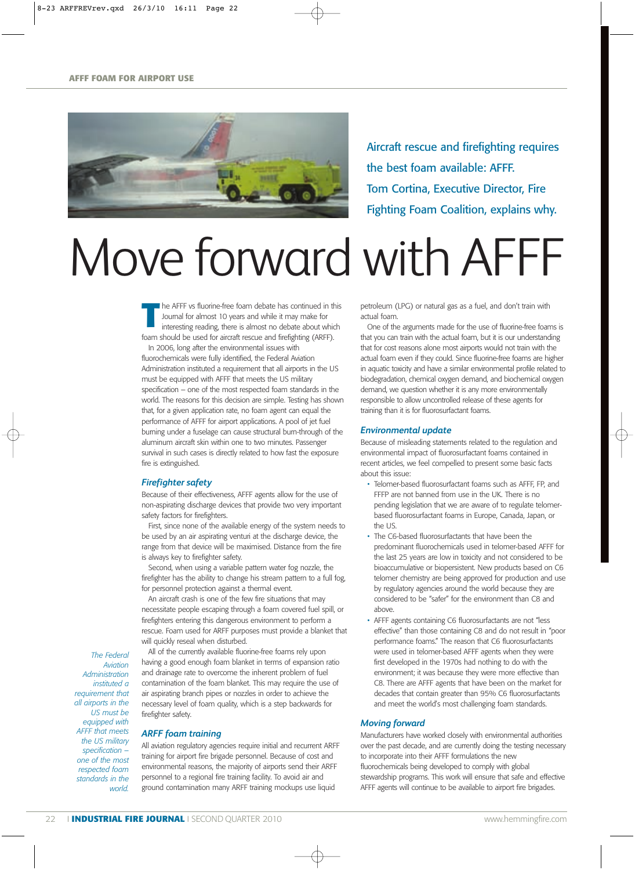

Aircraft rescue and firefighting requires the best foam available: AFFF. Tom Cortina, Executive Director, Fire Fighting Foam Coalition, explains why.

# Move forward with AFFF

The AFFF vs fluorine-free foam debate has continued in this Journal for almost 10 years and while it may make for interesting reading, there is almost no debate about which Journal for almost 10 years and while it may make for interesting reading, there is almost no debate about which foam should be used for aircraft rescue and firefighting (ARFF). In 2006, long after the environmental issues with fluorochemicals were fully identified, the Federal Aviation Administration instituted a requirement that all airports in the US must be equipped with AFFF that meets the US military specification – one of the most respected foam standards in the world. The reasons for this decision are simple. Testing has shown that, for a given application rate, no foam agent can equal the performance of AFFF for airport applications. A pool of jet fuel burning under a fuselage can cause structural burn-through of the aluminum aircraft skin within one to two minutes. Passenger survival in such cases is directly related to how fast the exposure fire is extinguished.

# *Firefighter safety*

Because of their effectiveness, AFFF agents allow for the use of non-aspirating discharge devices that provide two very important safety factors for firefighters.

First, since none of the available energy of the system needs to be used by an air aspirating venturi at the discharge device, the range from that device will be maximised. Distance from the fire is always key to firefighter safety.

Second, when using a variable pattern water fog nozzle, the firefighter has the ability to change his stream pattern to a full fog, for personnel protection against a thermal event.

An aircraft crash is one of the few fire situations that may necessitate people escaping through a foam covered fuel spill, or firefighters entering this dangerous environment to perform a rescue. Foam used for ARFF purposes must provide a blanket that will quickly reseal when disturbed.

*The Federal Aviation Administration instituted a requirement that all airports in the US must be equipped with AFFF that meets the US military specification – one of the most respected foam standards in the world.* 

All of the currently available fluorine-free foams rely upon having a good enough foam blanket in terms of expansion ratio and drainage rate to overcome the inherent problem of fuel contamination of the foam blanket. This may require the use of air aspirating branch pipes or nozzles in order to achieve the necessary level of foam quality, which is a step backwards for firefighter safety.

## *ARFF foam training*

All aviation regulatory agencies require initial and recurrent ARFF training for airport fire brigade personnel. Because of cost and environmental reasons, the majority of airports send their ARFF personnel to a regional fire training facility. To avoid air and ground contamination many ARFF training mockups use liquid

petroleum (LPG) or natural gas as a fuel, and don't train with actual foam.

One of the arguments made for the use of fluorine-free foams is that you can train with the actual foam, but it is our understanding that for cost reasons alone most airports would not train with the actual foam even if they could. Since fluorine-free foams are higher in aquatic toxicity and have a similar environmental profile related to biodegradation, chemical oxygen demand, and biochemical oxygen demand, we question whether it is any more environmentally responsible to allow uncontrolled release of these agents for training than it is for fluorosurfactant foams.

### *Environmental update*

Because of misleading statements related to the regulation and environmental impact of fluorosurfactant foams contained in recent articles, we feel compelled to present some basic facts about this issue:

- Telomer-based fluorosurfactant foams such as AFFF, FP, and FFFP are not banned from use in the UK. There is no pending legislation that we are aware of to regulate telomerbased fluorosurfactant foams in Europe, Canada, Japan, or the US.
- The C6-based fluorosurfactants that have been the predominant fluorochemicals used in telomer-based AFFF for the last 25 years are low in toxicity and not considered to be bioaccumulative or biopersistent. New products based on C6 telomer chemistry are being approved for production and use by regulatory agencies around the world because they are considered to be "safer" for the environment than C8 and above.
- AFFF agents containing C6 fluorosurfactants are not "less effective" than those containing C8 and do not result in "poor performance foams." The reason that C6 fluorosurfactants were used in telomer-based AFFF agents when they were first developed in the 1970s had nothing to do with the environment; it was because they were more effective than C8. There are AFFF agents that have been on the market for decades that contain greater than 95% C6 fluorosurfactants and meet the world's most challenging foam standards.

### *Moving forward*

Manufacturers have worked closely with environmental authorities over the past decade, and are currently doing the testing necessary to incorporate into their AFFF formulations the new fluorochemicals being developed to comply with global stewardship programs. This work will ensure that safe and effective AFFF agents will continue to be available to airport fire brigades.